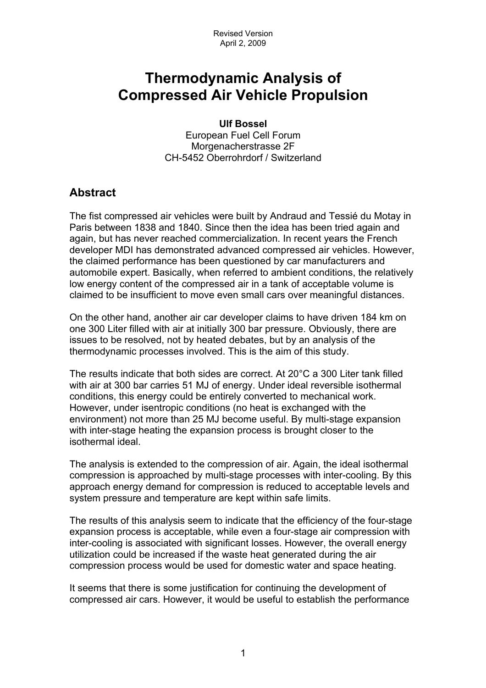# **Thermodynamic Analysis of Compressed Air Vehicle Propulsion**

**Ulf Bossel**  European Fuel Cell Forum Morgenacherstrasse 2F CH-5452 Oberrohrdorf / Switzerland

## **Abstract**

The fist compressed air vehicles were built by Andraud and Tessié du Motay in Paris between 1838 and 1840. Since then the idea has been tried again and again, but has never reached commercialization. In recent years the French developer MDI has demonstrated advanced compressed air vehicles. However, the claimed performance has been questioned by car manufacturers and automobile expert. Basically, when referred to ambient conditions, the relatively low energy content of the compressed air in a tank of acceptable volume is claimed to be insufficient to move even small cars over meaningful distances.

On the other hand, another air car developer claims to have driven 184 km on one 300 Liter filled with air at initially 300 bar pressure. Obviously, there are issues to be resolved, not by heated debates, but by an analysis of the thermodynamic processes involved. This is the aim of this study.

The results indicate that both sides are correct. At 20°C a 300 Liter tank filled with air at 300 bar carries 51 MJ of energy. Under ideal reversible isothermal conditions, this energy could be entirely converted to mechanical work. However, under isentropic conditions (no heat is exchanged with the environment) not more than 25 MJ become useful. By multi-stage expansion with inter-stage heating the expansion process is brought closer to the isothermal ideal.

The analysis is extended to the compression of air. Again, the ideal isothermal compression is approached by multi-stage processes with inter-cooling. By this approach energy demand for compression is reduced to acceptable levels and system pressure and temperature are kept within safe limits.

The results of this analysis seem to indicate that the efficiency of the four-stage expansion process is acceptable, while even a four-stage air compression with inter-cooling is associated with significant losses. However, the overall energy utilization could be increased if the waste heat generated during the air compression process would be used for domestic water and space heating.

It seems that there is some justification for continuing the development of compressed air cars. However, it would be useful to establish the performance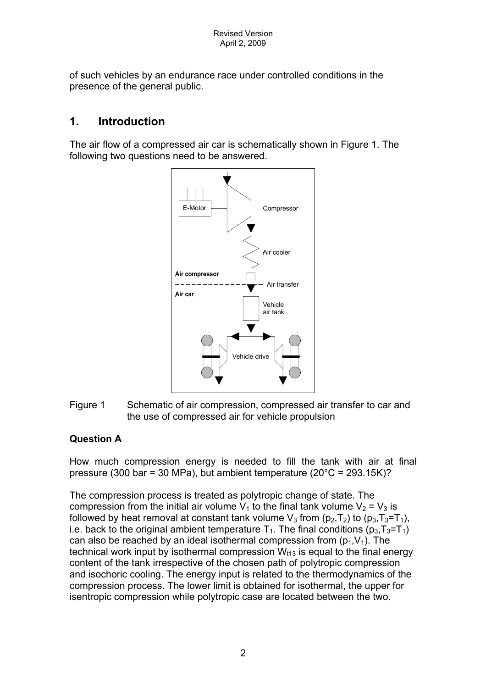of such vehicles by an endurance race under controlled conditions in the presence of the general public.

#### **1. Introduction**

The air flow of a compressed air car is schematically shown in Figure 1. The following two questions need to be answered.



Figure 1 Schematic of air compression, compressed air transfer to car and the use of compressed air for vehicle propulsion

#### **Question A**

How much compression energy is needed to fill the tank with air at final pressure (300 bar = 30 MPa), but ambient temperature (20°C = 293.15K)?

The compression process is treated as polytropic change of state. The compression from the initial air volume  $V_1$  to the final tank volume  $V_2 = V_3$  is followed by heat removal at constant tank volume  $V_3$  from ( $p_2$ ,  $T_2$ ) to ( $p_3$ ,  $T_3 = T_1$ ), i.e. back to the original ambient temperature  $T_1$ . The final conditions ( $p_3,T_3=T_1$ ) can also be reached by an ideal isothermal compression from  $(p_1, V_1)$ . The technical work input by isothermal compression  $W<sub>t13</sub>$  is equal to the final energy content of the tank irrespective of the chosen path of polytropic compression and isochoric cooling. The energy input is related to the thermodynamics of the compression process. The lower limit is obtained for isothermal, the upper for isentropic compression while polytropic case are located between the two.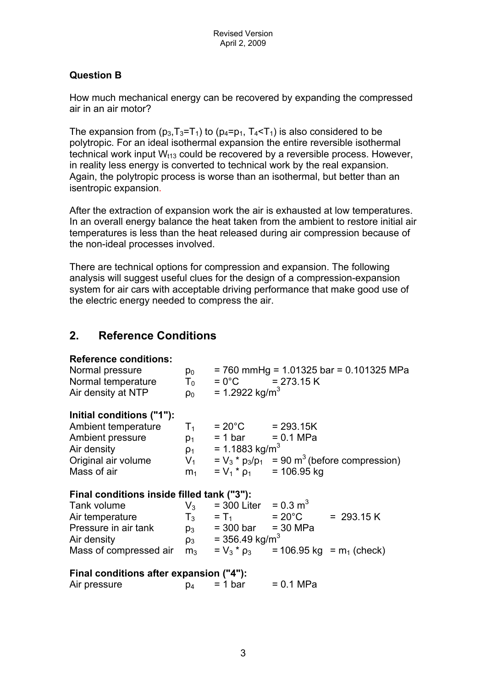#### **Question B**

How much mechanical energy can be recovered by expanding the compressed air in an air motor?

The expansion from  $(p_3,T_3=T_1)$  to  $(p_4=p_1, T_4 < T_1)$  is also considered to be polytropic. For an ideal isothermal expansion the entire reversible isothermal technical work input  $W_{t13}$  could be recovered by a reversible process. However, in reality less energy is converted to technical work by the real expansion. Again, the polytropic process is worse than an isothermal, but better than an isentropic expansion.

After the extraction of expansion work the air is exhausted at low temperatures. In an overall energy balance the heat taken from the ambient to restore initial air temperatures is less than the heat released during air compression because of the non-ideal processes involved.

There are technical options for compression and expansion. The following analysis will suggest useful clues for the design of a compression-expansion system for air cars with acceptable driving performance that make good use of the electric energy needed to compress the air.

## **2. Reference Conditions**

| <b>Reference conditions:</b><br>Normal pressure<br>Normal temperature<br>Air density at NTP | $p_0$<br>$T_0$<br>$\rho_0$ | $= 0^{\circ}$ C = 273.15 K<br>= 1.2922 kg/m <sup>3</sup> |                              | $= 760$ mmHg = 1.01325 bar = 0.101325 MPa                          |
|---------------------------------------------------------------------------------------------|----------------------------|----------------------------------------------------------|------------------------------|--------------------------------------------------------------------|
| Initial conditions ("1"):                                                                   |                            |                                                          |                              |                                                                    |
| Ambient temperature $T_1$                                                                   |                            | $= 20^{\circ}$ C = 293.15K                               |                              |                                                                    |
| Ambient pressure                                                                            | $p_1$                      | $= 1 \text{ bar} = 0.1 \text{ MPa}$                      |                              |                                                                    |
| Air density                                                                                 | $\rho_1$                   | = 1.1883 kg/m <sup>3</sup>                               |                              |                                                                    |
| Original air volume                                                                         |                            |                                                          |                              | $V_1$ = $V_3$ * $p_3/p_1$ = 90 m <sup>3</sup> (before compression) |
| Mass of air                                                                                 | m <sub>1</sub>             |                                                          | $= V_1 * \rho_1$ = 106.95 kg |                                                                    |
| Final conditions inside filled tank ("3"):                                                  |                            |                                                          |                              |                                                                    |
| Tank volume                                                                                 | $V_3$                      | $= 300$ Liter = 0.3 m <sup>3</sup>                       |                              |                                                                    |
| Air temperature                                                                             |                            |                                                          | $T_3 = T_1 = 20^{\circ}C$    | $= 293.15 K$                                                       |
| Pressure in air tank                                                                        |                            | $p_3 = 300 \text{ bar} = 30 \text{ MPa}$                 |                              |                                                                    |
| Air density                                                                                 | $\rho_3$                   | $= 356.49$ kg/m <sup>3</sup>                             |                              |                                                                    |
| Mass of compressed air                                                                      | m <sub>3</sub>             | $= V_3 * \rho_3$                                         |                              | $= 106.95$ kg = $m_1$ (check)                                      |
| Final conditions after expansion ("4"):                                                     |                            |                                                          |                              |                                                                    |
| Air pressure                                                                                | p <sub>4</sub>             | $= 1 bar$                                                | = 0.1 MPa                    |                                                                    |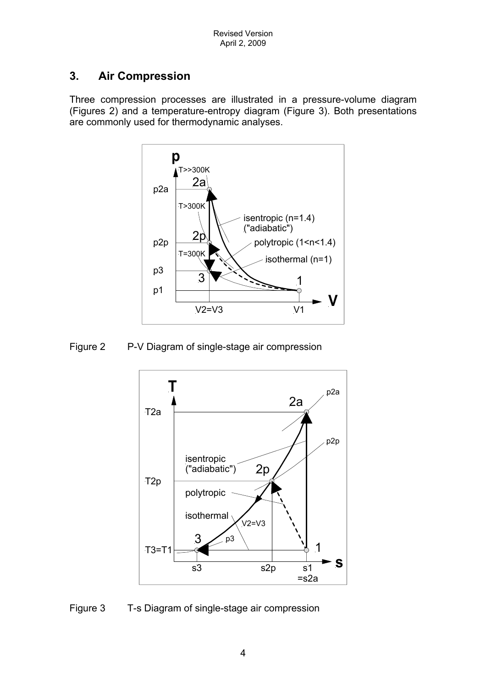# **3. Air Compression**

Three compression processes are illustrated in a pressure-volume diagram (Figures 2) and a temperature-entropy diagram (Figure 3). Both presentations are commonly used for thermodynamic analyses.



Figure 2 P-V Diagram of single-stage air compression



Figure 3 T-s Diagram of single-stage air compression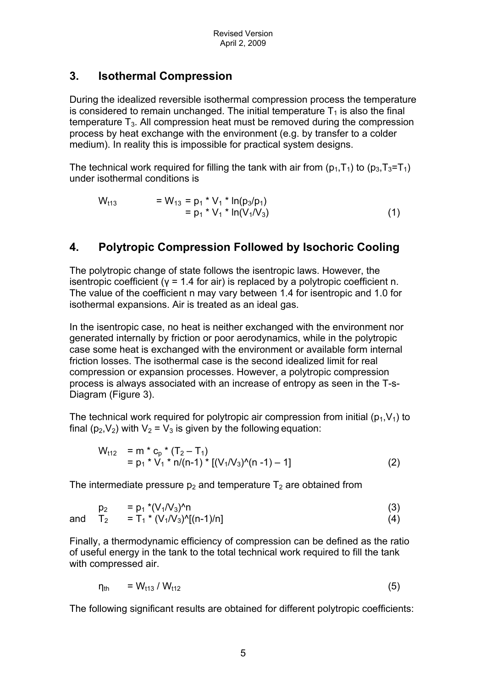#### **3. Isothermal Compression**

During the idealized reversible isothermal compression process the temperature is considered to remain unchanged. The initial temperature  $T_1$  is also the final temperature  $T_3$ . All compression heat must be removed during the compression process by heat exchange with the environment (e.g. by transfer to a colder medium). In reality this is impossible for practical system designs.

The technical work required for filling the tank with air from  $(p_1,T_1)$  to  $(p_3,T_3=T_1)$ under isothermal conditions is

$$
W_{t13} = W_{13} = p_1 * V_1 * ln(p_3/p_1)
$$
  
= p\_1 \* V\_1 \* ln(V\_1/V\_3) (1)

## **4. Polytropic Compression Followed by Isochoric Cooling**

The polytropic change of state follows the isentropic laws. However, the isentropic coefficient ( $y = 1.4$  for air) is replaced by a polytropic coefficient n. The value of the coefficient n may vary between 1.4 for isentropic and 1.0 for isothermal expansions. Air is treated as an ideal gas.

In the isentropic case, no heat is neither exchanged with the environment nor generated internally by friction or poor aerodynamics, while in the polytropic case some heat is exchanged with the environment or available form internal friction losses. The isothermal case is the second idealized limit for real compression or expansion processes. However, a polytropic compression process is always associated with an increase of entropy as seen in the T-s-Diagram (Figure 3).

The technical work required for polytropic air compression from initial ( $p_1, V_1$ ) to final (p<sub>2</sub>,V<sub>2</sub>) with V<sub>2</sub> = V<sub>3</sub> is given by the following equation:

$$
W_{t12} = m * c_p * (T_2 - T_1)
$$
  
= p<sub>1</sub> \* V<sub>1</sub> \* n/(n-1) \* [(V<sub>1</sub>/V<sub>3</sub>)<sup>0</sup>(n -1) - 1] (2)

The intermediate pressure  $p_2$  and temperature  $T_2$  are obtained from

$$
p_2 = p_1 * (V_1/V_3)^2 n
$$
 (3)

and  $T_2 = T_1 * (V_1/V_3)^0[(n-1)/n]$  (4)

Finally, a thermodynamic efficiency of compression can be defined as the ratio of useful energy in the tank to the total technical work required to fill the tank with compressed air.

$$
\eta_{\text{th}} = W_{\text{t13}} / W_{\text{t12}} \tag{5}
$$

The following significant results are obtained for different polytropic coefficients: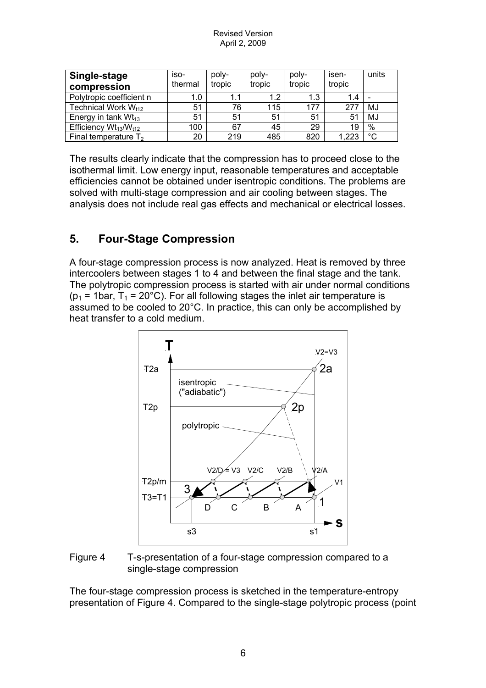Revised Version April 2, 2009

| Single-stage<br>compression     | iso-<br>thermal | poly-<br>tropic | poly-<br>tropic | poly-<br>tropic | isen-<br>tropic | units |
|---------------------------------|-----------------|-----------------|-----------------|-----------------|-----------------|-------|
| Polytropic coefficient n        | 1.0             | 1.1             | 1.2             | 1.3             | 1.4             |       |
| Technical Work W <sub>t12</sub> | 51              | 76              | 115             | 177             | 277             | MJ    |
| Energy in tank $Wt_{13}$        | 51              | 51              | 51              | 51              | 51              | MJ    |
| Efficiency $Wt_{13}/W_{t12}$    | 100             | 67              | 45              | 29              | 19              | $\%$  |
| Final temperature $T_2$         | 20              | 219             | 485             | 820             | 223. ا          | °C    |

The results clearly indicate that the compression has to proceed close to the isothermal limit. Low energy input, reasonable temperatures and acceptable efficiencies cannot be obtained under isentropic conditions. The problems are solved with multi-stage compression and air cooling between stages. The analysis does not include real gas effects and mechanical or electrical losses.

#### **5. Four-Stage Compression**

A four-stage compression process is now analyzed. Heat is removed by three intercoolers between stages 1 to 4 and between the final stage and the tank. The polytropic compression process is started with air under normal conditions ( $p_1$  = 1bar,  $T_1$  = 20°C). For all following stages the inlet air temperature is assumed to be cooled to 20°C. In practice, this can only be accomplished by heat transfer to a cold medium.



Figure 4 T-s-presentation of a four-stage compression compared to a single-stage compression

The four-stage compression process is sketched in the temperature-entropy presentation of Figure 4. Compared to the single-stage polytropic process (point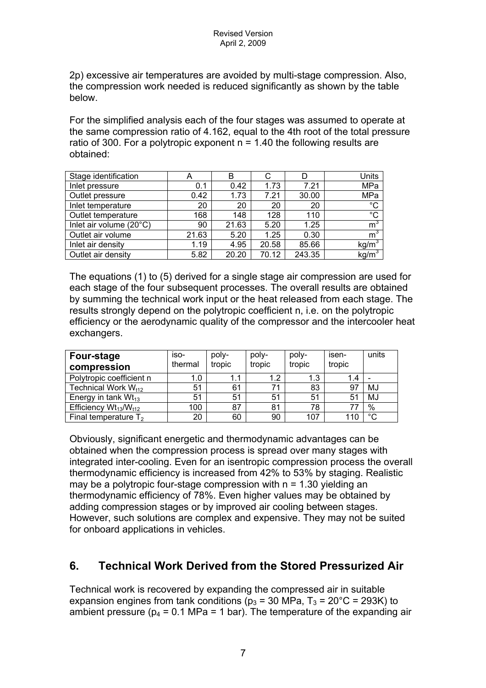2p) excessive air temperatures are avoided by multi-stage compression. Also, the compression work needed is reduced significantly as shown by the table below.

For the simplified analysis each of the four stages was assumed to operate at the same compression ratio of 4.162, equal to the 4th root of the total pressure ratio of 300. For a polytropic exponent  $n = 1.40$  the following results are obtained:

| Stage identification    | $\boldsymbol{\mathsf{A}}$ | B     | С     |        | Units             |
|-------------------------|---------------------------|-------|-------|--------|-------------------|
| Inlet pressure          | 0.1                       | 0.42  | 1.73  | 7.21   | MPa               |
| Outlet pressure         | 0.42                      | 1.73  | 7.21  | 30.00  | MPa               |
| Inlet temperature       | 20                        | 20    | 20    | 20     | $\overline{c}$    |
| Outlet temperature      | 168                       | 148   | 128   | 110    | $\overline{C}$    |
| Inlet air volume (20°C) | 90                        | 21.63 | 5.20  | 1.25   | m <sup>3</sup>    |
| Outlet air volume       | 21.63                     | 5.20  | 1.25  | 0.30   | m <sup>3</sup>    |
| Inlet air density       | 1.19                      | 4.95  | 20.58 | 85.66  | kg/m <sup>3</sup> |
| Outlet air density      | 5.82                      | 20.20 | 70.12 | 243.35 | kg/m <sup>3</sup> |

The equations (1) to (5) derived for a single stage air compression are used for each stage of the four subsequent processes. The overall results are obtained by summing the technical work input or the heat released from each stage. The results strongly depend on the polytropic coefficient n, i.e. on the polytropic efficiency or the aerodynamic quality of the compressor and the intercooler heat exchangers.

| Four-stage<br>compression       | iso-<br>thermal | poly-<br>tropic | poly-<br>tropic | poly-<br>tropic | isen-<br>tropic | units  |
|---------------------------------|-----------------|-----------------|-----------------|-----------------|-----------------|--------|
| Polytropic coefficient n        | 1.0             | 1.1             | 1.2             | 1.3             | 1.4             |        |
| Technical Work W <sub>t12</sub> | 51              | 61              |                 | 83              | 97              | MJ     |
| Energy in tank $Wt_{13}$        | 51              | 51              | 51              | 51              | 51              | MJ     |
| Efficiency $Wt_{13}/W_{t12}$    | 100             | 87              | 81              | 78              | 77              | $\%$   |
| Final temperature $T_2$         | 20              | 60              | 90              | 107             | 110             | $\sim$ |

Obviously, significant energetic and thermodynamic advantages can be obtained when the compression process is spread over many stages with integrated inter-cooling. Even for an isentropic compression process the overall thermodynamic efficiency is increased from 42% to 53% by staging. Realistic may be a polytropic four-stage compression with  $n = 1.30$  yielding an thermodynamic efficiency of 78%. Even higher values may be obtained by adding compression stages or by improved air cooling between stages. However, such solutions are complex and expensive. They may not be suited for onboard applications in vehicles.

# **6. Technical Work Derived from the Stored Pressurized Air**

Technical work is recovered by expanding the compressed air in suitable expansion engines from tank conditions ( $p_3$  = 30 MPa,  $T_3$  = 20°C = 293K) to ambient pressure ( $p_4$  = 0.1 MPa = 1 bar). The temperature of the expanding air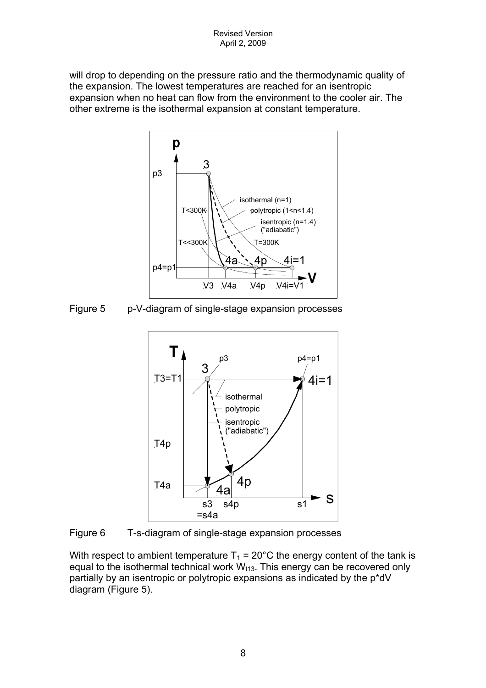will drop to depending on the pressure ratio and the thermodynamic quality of the expansion. The lowest temperatures are reached for an isentropic expansion when no heat can flow from the environment to the cooler air. The other extreme is the isothermal expansion at constant temperature.



Figure 5 p-V-diagram of single-stage expansion processes



Figure 6 T-s-diagram of single-stage expansion processes

With respect to ambient temperature  $T_1 = 20^{\circ}$ C the energy content of the tank is equal to the isothermal technical work  $W_{t13}$ . This energy can be recovered only partially by an isentropic or polytropic expansions as indicated by the p\*dV diagram (Figure 5).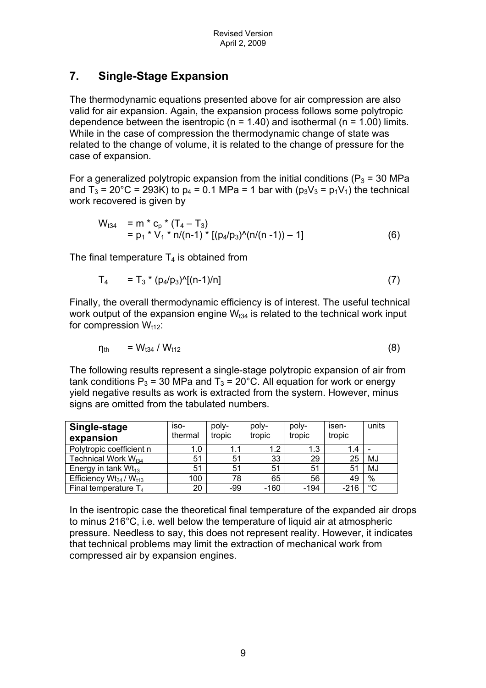# **7. Single-Stage Expansion**

The thermodynamic equations presented above for air compression are also valid for air expansion. Again, the expansion process follows some polytropic dependence between the isentropic ( $n = 1.40$ ) and isothermal ( $n = 1.00$ ) limits. While in the case of compression the thermodynamic change of state was related to the change of volume, it is related to the change of pressure for the case of expansion.

For a generalized polytropic expansion from the initial conditions ( $P_3$  = 30 MPa and  $T_3 = 20^{\circ}$ C = 293K) to p<sub>4</sub> = 0.1 MPa = 1 bar with (p<sub>3</sub>V<sub>3</sub> = p<sub>1</sub>V<sub>1</sub>) the technical work recovered is given by

$$
W_{t34} = m * c_p * (T_4 - T_3)
$$
  
=  $p_1 * V_1 * n/(n-1) * [(p_4/p_3)^(n/(n-1)) - 1]$  (6)

The final temperature  $T_4$  is obtained from

$$
T_4 = T_3 * (p_4/p_3)^{1/2}[(n-1)/n]
$$
 (7)

Finally, the overall thermodynamic efficiency is of interest. The useful technical work output of the expansion engine  $W<sub>134</sub>$  is related to the technical work input for compression  $W_{t12}$ :

$$
\eta_{\rm th} = W_{134} / W_{112}
$$
 (8)

The following results represent a single-stage polytropic expansion of air from tank conditions  $P_3$  = 30 MPa and  $T_3$  = 20°C. All equation for work or energy yield negative results as work is extracted from the system. However, minus signs are omitted from the tabulated numbers.

| Single-stage<br>expansion        | iso-<br>thermal | poly-<br>tropic | poly-<br>tropic | poly-<br>tropic | isen-<br>tropic | units       |
|----------------------------------|-----------------|-----------------|-----------------|-----------------|-----------------|-------------|
| Polytropic coefficient n         | 1.0             | 1.1             | 1.2             | 1.3             | 1.4             |             |
| Technical Work W <sub>t34</sub>  | 51              | 51              | 33              | 29              | 25              | MJ          |
| Energy in tank $Wt_{13}$         | 51              | 51              | 51              | 51              | 51              | MJ          |
| Efficiency $Wt_{34}$ / $W_{t13}$ | 100             | 78              | 65              | 56              | 49              | $\%$        |
| Final temperature $T_4$          | 20              | $-99$           | $-160$          | $-194$          | $-216$          | $^{\circ}C$ |

In the isentropic case the theoretical final temperature of the expanded air drops to minus 216°C, i.e. well below the temperature of liquid air at atmospheric pressure. Needless to say, this does not represent reality. However, it indicates that technical problems may limit the extraction of mechanical work from compressed air by expansion engines.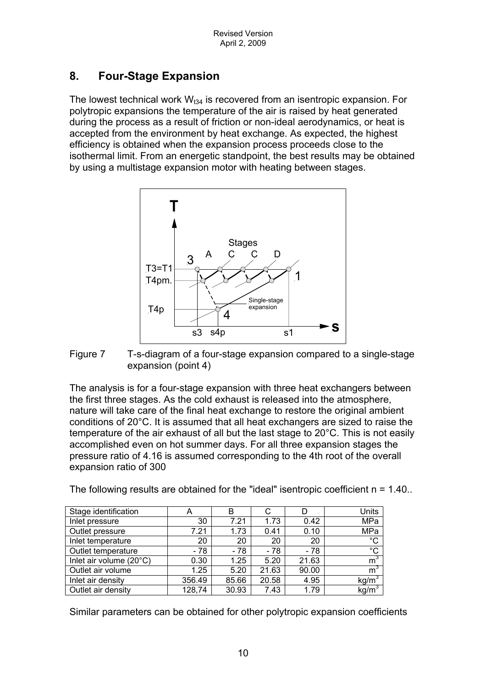# **8. Four-Stage Expansion**

The lowest technical work  $W_{t34}$  is recovered from an isentropic expansion. For polytropic expansions the temperature of the air is raised by heat generated during the process as a result of friction or non-ideal aerodynamics, or heat is accepted from the environment by heat exchange. As expected, the highest efficiency is obtained when the expansion process proceeds close to the isothermal limit. From an energetic standpoint, the best results may be obtained by using a multistage expansion motor with heating between stages.



Figure 7 T-s-diagram of a four-stage expansion compared to a single-stage expansion (point 4)

The analysis is for a four-stage expansion with three heat exchangers between the first three stages. As the cold exhaust is released into the atmosphere, nature will take care of the final heat exchange to restore the original ambient conditions of 20°C. It is assumed that all heat exchangers are sized to raise the temperature of the air exhaust of all but the last stage to 20°C. This is not easily accomplished even on hot summer days. For all three expansion stages the pressure ratio of 4.16 is assumed corresponding to the 4th root of the overall expansion ratio of 300

The following results are obtained for the "ideal" isentropic coefficient  $n = 1.40$ .

| Stage identification    | A      | в     | С     |       | Units             |
|-------------------------|--------|-------|-------|-------|-------------------|
| Inlet pressure          | 30     | 7.21  | 1.73  | 0.42  | MPa               |
| Outlet pressure         | 7.21   | 1.73  | 0.41  | 0.10  | MPa               |
| Inlet temperature       | 20     | 20    | 20    | 20    | $\overline{C}$    |
| Outlet temperature      | - 78   | $-78$ | - 78  | $-78$ | $\overline{C}$    |
| Inlet air volume (20°C) | 0.30   | 1.25  | 5.20  | 21.63 | m <sup>3</sup>    |
| Outlet air volume       | 1.25   | 5.20  | 21.63 | 90.00 | m <sup>3</sup>    |
| Inlet air density       | 356.49 | 85.66 | 20.58 | 4.95  | kg/m <sup>3</sup> |
| Outlet air density      | 128,74 | 30.93 | 7.43  | 1.79  | kg/m <sup>3</sup> |

Similar parameters can be obtained for other polytropic expansion coefficients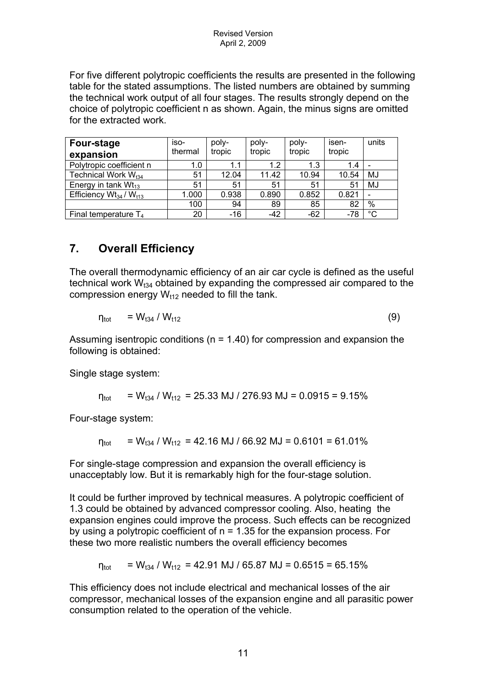For five different polytropic coefficients the results are presented in the following table for the stated assumptions. The listed numbers are obtained by summing the technical work output of all four stages. The results strongly depend on the choice of polytropic coefficient n as shown. Again, the minus signs are omitted for the extracted work.

| Four-stage<br>expansion         | $iso-$<br>thermal | poly-<br>tropic | poly-<br>tropic | poly-<br>tropic | isen-<br>tropic | units                    |
|---------------------------------|-------------------|-----------------|-----------------|-----------------|-----------------|--------------------------|
| Polytropic coefficient n        | 1.0               | 1.1             | 1.2             | 1.3             | 1.4             |                          |
| Technical Work W <sub>t34</sub> | 51                | 12.04           | 11.42           | 10.94           | 10.54           | MJ                       |
| Energy in tank $Wt_{13}$        | 51                | 51              | 51              | 51              | 51              | MJ                       |
| Efficiency $Wt_{34} / W_{t13}$  | 1.000             | 0.938           | 0.890           | 0.852           | 0.821           | $\overline{\phantom{0}}$ |
|                                 | 100               | 94              | 89              | 85              | 82              | $\%$                     |
| Final temperature $T_4$         | 20                | $-16$           | $-42$           | $-62$           | $-78$           | °C                       |

# **7. Overall Efficiency**

The overall thermodynamic efficiency of an air car cycle is defined as the useful technical work  $W_{t34}$  obtained by expanding the compressed air compared to the compression energy  $W_{t12}$  needed to fill the tank.

$$
\eta_{\text{tot}} = W_{t34} / W_{t12} \tag{9}
$$

Assuming isentropic conditions ( $n = 1.40$ ) for compression and expansion the following is obtained:

Single stage system:

 $n_{\text{tot}}$  = W<sub>t34</sub> / W<sub>t12</sub> = 25.33 MJ / 276.93 MJ = 0.0915 = 9.15%

Four-stage system:

 $n_{\text{tot}}$  = W<sub>t34</sub> / W<sub>t12</sub> = 42.16 MJ / 66.92 MJ = 0.6101 = 61.01%

For single-stage compression and expansion the overall efficiency is unacceptably low. But it is remarkably high for the four-stage solution.

It could be further improved by technical measures. A polytropic coefficient of 1.3 could be obtained by advanced compressor cooling. Also, heating the expansion engines could improve the process. Such effects can be recognized by using a polytropic coefficient of n = 1.35 for the expansion process. For these two more realistic numbers the overall efficiency becomes

 $\eta_{\text{tot}}$  = W<sub>t34</sub> / W<sub>t12</sub> = 42.91 MJ / 65.87 MJ = 0.6515 = 65.15%

This efficiency does not include electrical and mechanical losses of the air compressor, mechanical losses of the expansion engine and all parasitic power consumption related to the operation of the vehicle.